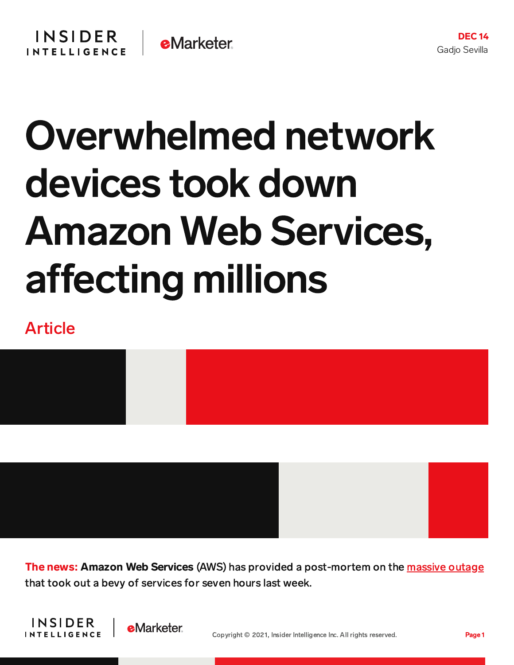## Overwhelmed network devices took down Amazon Web Services, affecting millions

## Article



The news: Amazon Web Services (AWS) has provided a post-mortem on the [massive](https://content-na2.emarketer.com/aws-server-outage-takes-down-alexa-instacart-disney-plus-venmo-more) outage that took out a bevy of services for seven hours last week.



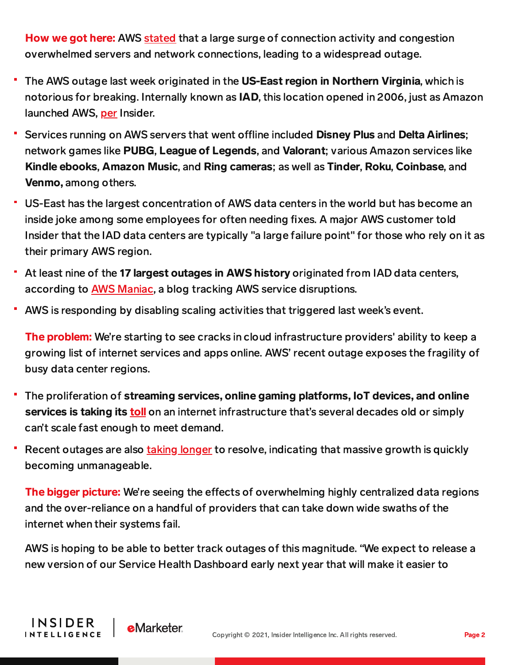How we got here: AWS [stated](https://aws.amazon.com/message/12721/?ascsubtag=[]vg[p]22593585[t]w[r]theverge.com[d]D) that a large surge of connection activity and congestion overwhelmed servers and network connections, leading to a widespread outage.

- The AWS outage last week originated in the US-East region in Northern Virginia, which is notorious for breaking. Internally known as IAD, this location opened in 2006, just as Amazon launched AWS, [per](https://www.businessinsider.com/amazon-projects-mitigate-outage-prone-aws-cloud-region-buckeye-holiday-2021-12) Insider.
- Services running on AWS servers that went offline included Disney Plus and Delta Airlines; network games like PUBG, League of Legends, and Valorant; various Amazon services like Kindle ebooks, Amazon Music, and Ring cameras; as well as Tinder, Roku, Coinbase, and Venmo, among others.
- US-East has the largest concentration of AWS data centers in the world but has become an inside joke among some employees for often needing fixes. A major AWS customer told Insider that the IAD data centers are typically "a large failure point" for those who rely on it as their primary AWS region.
- At least nine of the 17 largest outages in AWS history originated from IAD data centers, according to **AWS Maniac**, a blog tracking AWS service disruptions.
- AWS is responding by disabling scaling activities that triggered last week's event.

The problem: We're starting to see cracks in cloud infrastructure providers' ability to keep a growing list of internet services and apps online. AWS' recent outage exposes the fragility of busy data center regions.

- The proliferation of streaming services, online gaming platforms, IoT devices, and online services is taking its [toll](https://www.usatoday.com/story/tech/2021/06/08/fastly-outage-internet-cloud-computing-online-crash-how-prepare/7600097002/) on an internet infrastructure that's several decades old or simply can't scale fast enough to meet demand.
- Recent outages are also taking [longer](https://www.zdnet.com/article/facebooks-giant-outage-this-change-caused-all-the-problems/) to resolve, indicating that massive growth is quickly becoming unmanageable.

The bigger picture: We're seeing the effects of overwhelming highly centralized data regions and the over-reliance on a handful of providers that can take down wide swaths of the internet when their systems fail.

AWS is hoping to be able to better track outages of this magnitude. "We expect to release a new version of our Service Health Dashboard early next year that will make it easier to

**INSIDER** 

**INTELLIGENCE** 

**e**Marketer